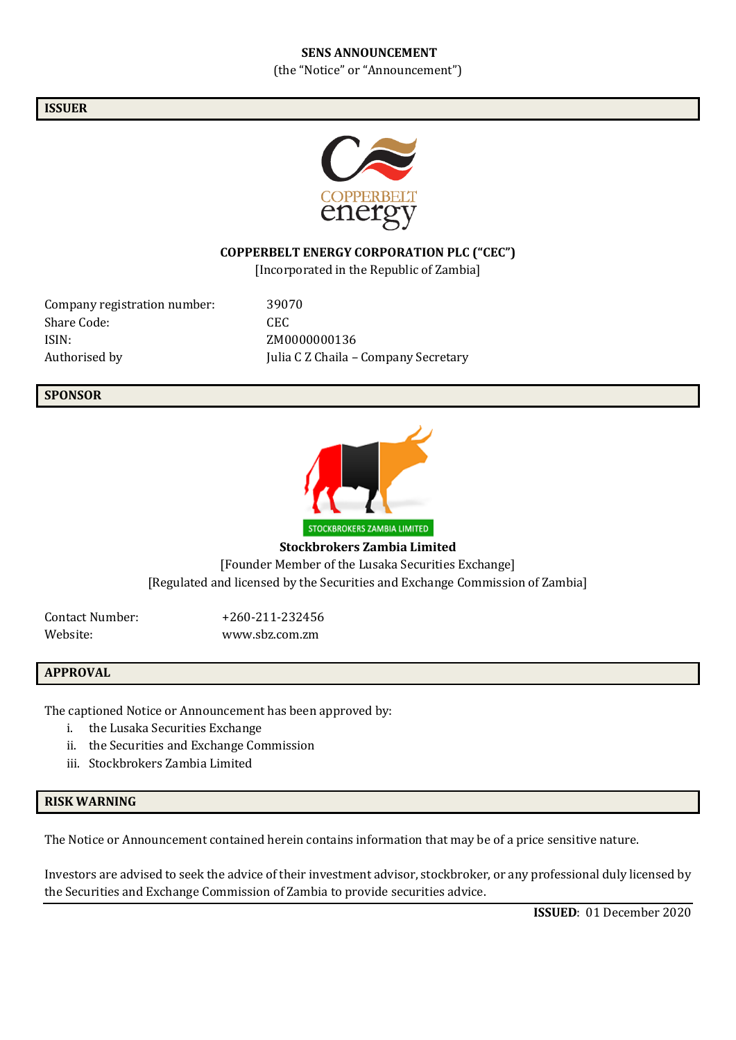#### **SENS ANNOUNCEMENT**

(the "Notice" or "Announcement")

## **ISSUER**



## **COPPERBELT ENERGY CORPORATION PLC ("CEC")**

[Incorporated in the Republic of Zambia]

Company registration number: 39070 Share Code: CEC ISIN: ZM0000000136

Authorised by Julia C Z Chaila – Company Secretary

## **SPONSOR**



**Stockbrokers Zambia Limited** [Founder Member of the Lusaka Securities Exchange] [Regulated and licensed by the Securities and Exchange Commission of Zambia]

Website: www.sbz.com.zm

Contact Number: +260-211-232456

## **APPROVAL**

The captioned Notice or Announcement has been approved by:

- i. the Lusaka Securities Exchange
- ii. the Securities and Exchange Commission
- iii. Stockbrokers Zambia Limited

## **RISK WARNING**

The Notice or Announcement contained herein contains information that may be of a price sensitive nature.

Investors are advised to seek the advice of their investment advisor, stockbroker, or any professional duly licensed by the Securities and Exchange Commission of Zambia to provide securities advice.

**ISSUED**: 01 December 2020